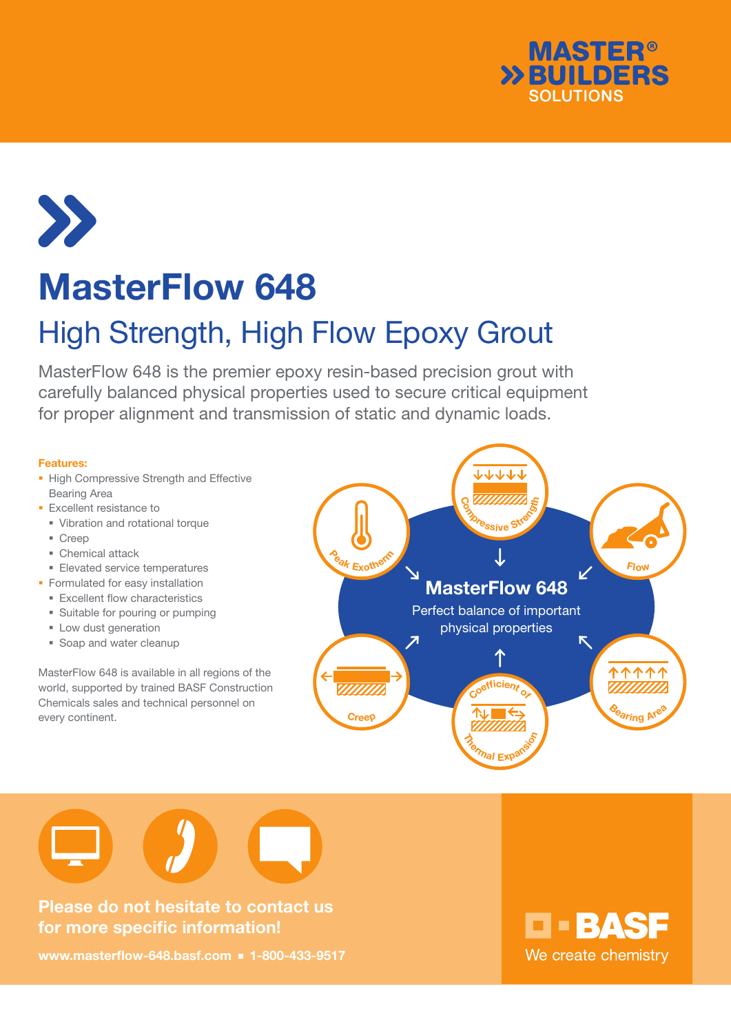



# MasterFlow 648

## High Strength, High Flow Epoxy Grout

MasterFlow 648 is the premier epoxy resin-based precision grout with carefully balanced physical properties used to secure critical equipment for proper alignment and transmission of static and dynamic loads.

#### Features:

- **High Compressive Strength and Effective** Bearing Area
- **Excellent resistance to** 
	- Vibration and rotational torque
	- Creep
	- Chemical attack
- **Elevated service temperatures**
- **Formulated for easy installation** 
	- **Excellent flow characteristics**
	- **Suitable for pouring or pumping**
	- **Low dust generation**
	- **Soap and water cleanup**

MasterFlow 648 is available in all regions of the world, supported by trained BASF Construction Chemicals sales and technical personnel on every continent.





Please do not hesitate to contact us for more specific information!

www.masterflow-648.basf.com = 1-800-433-9517